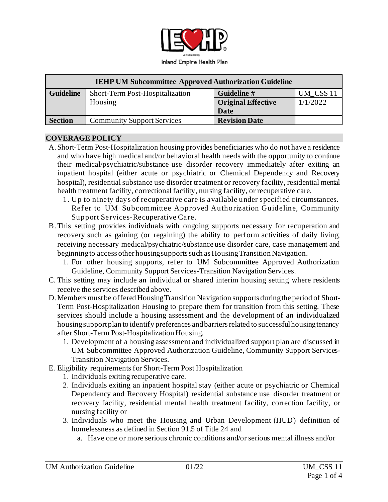

| <b>IEHP UM Subcommittee Approved Authorization Guideline</b> |                                   |                           |           |
|--------------------------------------------------------------|-----------------------------------|---------------------------|-----------|
| <b>Guideline</b>                                             | Short-Term Post-Hospitalization   | Guideline #               | UM CSS 11 |
|                                                              | Housing                           | <b>Original Effective</b> | 1/1/2022  |
|                                                              |                                   | Date                      |           |
| <b>Section</b>                                               | <b>Community Support Services</b> | <b>Revision Date</b>      |           |

#### **COVERAGE POLICY**

- A.Short-Term Post-Hospitalization housing provides beneficiaries who do not have a residence and who have high medical and/or behavioral health needs with the opportunity to continue their medical/psychiatric/substance use disorder recovery immediately after exiting an inpatient hospital (either acute or psychiatric or Chemical Dependency and Recovery hospital), residential substance use disorder treatment or recovery facility, residential mental health treatment facility, correctional facility, nursing facility, or recuperative care.
	- 1. Up to ninety days of recuperative care is available under specified circumstances. Refer to UM Subcommittee Approved Authorization Guideline, Community Support Services-Recuperative Care.
- B.This setting provides individuals with ongoing supports necessary for recuperation and recovery such as gaining (or regaining) the ability to perform activities of daily living, receiving necessary medical/psychiatric/substance use disorder care, case management and beginning to access other housing supports such as Housing Transition Navigation.
	- 1. For other housing supports, refer to UM Subcommittee Approved Authorization Guideline, Community Support Services-Transition Navigation Services.
- C. This setting may include an individual or shared interim housing setting where residents receive the services described above.
- D. Members must be offered Housing Transition Navigation supports during the period of Short-Term Post-Hospitalization Housing to prepare them for transition from this setting. These services should include a housing assessment and the development of an individualized housing support plan to identify preferences and barriers related to successful housing tenancy after Short-Term Post-Hospitalization Housing.
	- 1. Development of a housing assessment and individualized support plan are discussed in UM Subcommittee Approved Authorization Guideline, Community Support Services-Transition Navigation Services.
- E. Eligibility requirements for Short-Term Post Hospitalization
	- 1. Individuals exiting recuperative care.
	- 2. Individuals exiting an inpatient hospital stay (either acute or psychiatric or Chemical Dependency and Recovery Hospital) residential substance use disorder treatment or recovery facility, residential mental health treatment facility, correction facility, or nursing facility or
	- 3. Individuals who meet the Housing and Urban Development (HUD) definition of homelessness as defined in Section 91.5 of Title 24 and
		- a. Have one or more serious chronic conditions and/or serious mental illness and/or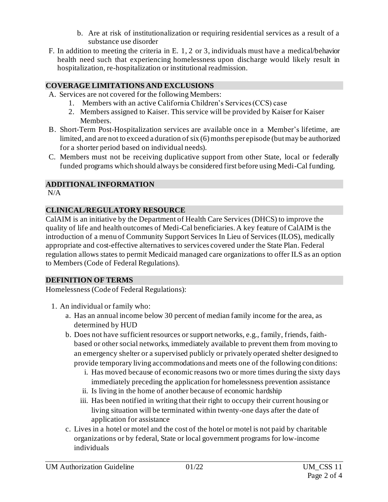- b. Are at risk of institutionalization or requiring residential services as a result of a substance use disorder
- F. In addition to meeting the criteria in E. 1, 2 or 3, individuals must have a medical/behavior health need such that experiencing homelessness upon discharge would likely result in hospitalization, re-hospitalization or institutional readmission.

# **COVERAGE LIMITATIONS AND EXCLUSIONS**

- A. Services are not covered for the following Members:
	- 1. Members with an active California Children's Services (CCS) case
	- 2. Members assigned to Kaiser. This service will be provided by Kaiser for Kaiser Members.
- B. Short-Term Post-Hospitalization services are available once in a Member's lifetime, are limited, and are not to exceed a duration of six (6) months per episode (but may be authorized for a shorter period based on individual needs).
- C. Members must not be receiving duplicative support from other State, local or federally funded programs which should always be considered first before using Medi-Cal funding.

## **ADDITIONAL INFORMATION**

 $N/A$ 

## **CLINICAL/REGULATORY RESOURCE**

CalAIM is an initiative by the Department of Health Care Services (DHCS) to improve the quality of life and health outcomes of Medi-Cal beneficiaries. A key feature of CalAIM is the introduction of a menu of Community Support Services In Lieu of Services (ILOS), medically appropriate and cost-effective alternatives to services covered under the State Plan. Federal regulation allows states to permit Medicaid managed care organizations to offer ILS as an option to Members (Code of Federal Regulations).

#### **DEFINITION OF TERMS**

Homelessness (Code of Federal Regulations):

- 1. An individual or family who:
	- a. Has an annual income below 30 percent of median family income for the area, as determined by HUD
	- b. Does not have sufficient resources or support networks, e.g., family, friends, faithbased or other social networks, immediately available to prevent them from moving to an emergency shelter or a supervised publicly or privately operated shelter designed to provide temporary living accommodations and meets one of the following conditions:
		- i. Has moved because of economic reasons two or more times during the sixty days immediately preceding the application for homelessness prevention assistance
		- ii. Is living in the home of another because of economic hardship
		- iii. Has been notified in writing that their right to occupy their current housing or living situation will be terminated within twenty-one days after the date of application for assistance
	- c. Lives in a hotel or motel and the cost of the hotel or motel is not paid by charitable organizations or by federal, State or local government programs for low-income individuals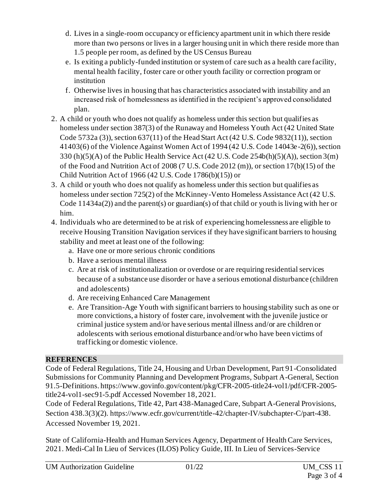- d. Lives in a single-room occupancy or efficiency apartment unit in which there reside more than two persons or lives in a larger housing unit in which there reside more than 1.5 people per room, as defined by the US Census Bureau
- e. Is exiting a publicly-funded institution or system of care such as a health care facility, mental health facility, foster care or other youth facility or correction program or institution
- f. Otherwise lives in housing that has characteristics associated with instability and an increased risk of homelessness as identified in the recipient's approved consolidated plan.
- 2. A child or youth who does not qualify as homeless under this section but qualifies as homeless under section 387(3) of the Runaway and Homeless Youth Act (42 United State Code 5732a (3)), section 637(11) of the Head Start Act (42 U.S. Code 9832(11)), section 41403(6) of the Violence Against Women Act of 1994 (42 U.S. Code 14043e-2(6)), section 330 (h)(5)(A) of the Public Health Service Act (42 U.S. Code 254b(h)(5)(A)), section 3(m) of the Food and Nutrition Act of 2008 (7 U.S. Code 2012 (m)), or section 17(b)(15) of the Child Nutrition Act of 1966 (42 U.S. Code 1786(b)(15)) or
- 3. A child or youth who does not qualify as homeless under this section but qualifies as homeless under section 725(2) of the McKinney-Vento Homeless Assistance Act (42 U.S. Code 11434a(2)) and the parent(s) or guardian(s) of that child or youth is living with her or him.
- 4. Individuals who are determined to be at risk of experiencing homelessness are eligible to receive Housing Transition Navigation services if they have significant barriers to housing stability and meet at least one of the following:
	- a. Have one or more serious chronic conditions
	- b. Have a serious mental illness
	- c. Are at risk of institutionalization or overdose or are requiring residential services because of a substance use disorder or have a serious emotional disturbance (children and adolescents)
	- d. Are receiving Enhanced Care Management
	- e. Are Transition-Age Youth with significant barriers to housing stability such as one or more convictions, a history of foster care, involvement with the juvenile justice or criminal justice system and/or have serious mental illness and/or are children or adolescents with serious emotional disturbance and/or who have been victims of trafficking or domestic violence.

# **REFERENCES**

Code of Federal Regulations, Title 24, Housing and Urban Development, Part 91-Consolidated Submissions for Community Planning and Development Programs, Subpart A-General, Section 91.5-Definitions[. https://www.govinfo.gov/content/pkg/CFR-2005-title24-vol1/pdf/CFR-2005](https://www.govinfo.gov/content/pkg/CFR-2005-title24-vol1/pdf/CFR-2005-title24-vol1-sec91-5.pdf%20Accessed%20November%2018) [title24-vol1-sec91-5.pdf Accessed November 18](https://www.govinfo.gov/content/pkg/CFR-2005-title24-vol1/pdf/CFR-2005-title24-vol1-sec91-5.pdf%20Accessed%20November%2018), 2021.

Code of Federal Regulations, Title 42, Part 438-Managed Care, Subpart A-General Provisions, Section 438.3(3)(2)[. https://www.ecfr.gov/current/title-42/chapter-IV/subchapter-C/part-438](https://www.ecfr.gov/current/title-42/chapter-IV/subchapter-C/part-438). Accessed November 19, 2021.

State of California-Health and Human Services Agency, Department of Health Care Services, 2021. Medi-Cal In Lieu of Services (ILOS) Policy Guide, III. In Lieu of Services-Service